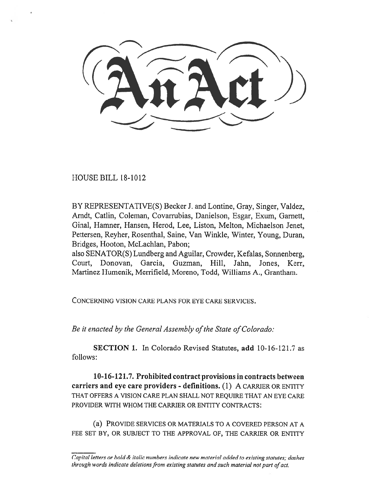$( \lambda \widehat{n} \lambda \alpha)$ 

HOUSE BILL 18-1012

BY REPRESENTATIVE(S) Becker J. and Lontine, Gray, Singer, Valdez, Arndt, Catlin, Coleman, Covarrubias, Danielson, Esgar, Exum, Garnett, Ginal, Hamner, Hansen, Herod, Lee, Liston, Melton, Michaelson Jenet, Pettersen, Reyher, Rosenthal, Saine, Van Winkle, Winter, Young, Duran, Bridges, Hooton, McLachlan, Pabon;

also SENATOR(S) Lundberg and Aguilar, Crowder, Kefalas, Sonnenberg, Court, Donovan, Garcia, Guzman, Hill, Jahn, Jones, Kerr, Martinez Humenik, Merrifield, Moreno, Todd, Williams A., Grantham.

CONCERNING VISION CARE PLANS FOR EYE CARE SERVICES.

*Be it enacted by the General Assembly of the State of Colorado:* 

**SECTION 1.** In Colorado Revised Statutes, **add** 10-16-121.7 as follows:

**10-16-121.7. Prohibited contract provisions in contracts between carriers and eye care providers - definitions. (1)** A CARRIER OR ENTITY THAT OFFERS A VISION CARE PLAN SHALL NOT REQUIRE THAT AN EYE CARE PROVIDER WITH WHOM THE CARRIER OR ENTITY CONTRACTS:

(a) PROVIDE SERVICES OR MATERIALS TO A COVERED PERSON AT A FEE SET BY, OR SUBJECT TO THE APPROVAL OF, THE CARRIER OR ENTITY

*Capital letters or bold & italic numbers indicate new material added to existing statutes; dashes through words indicate deletions from existing statutes and such material not part of act.*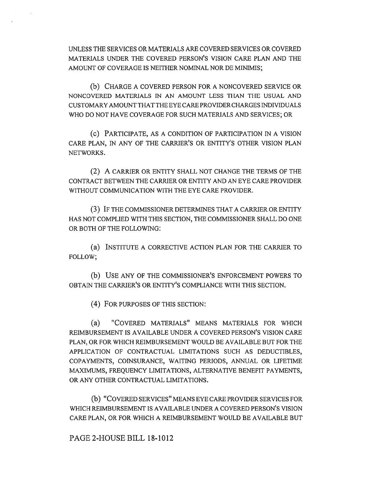UNLESS THE SERVICES OR MATERIALS ARE COVERED SERVICES OR COVERED MATERIALS UNDER THE COVERED PERSON'S VISION CARE PLAN AND THE AMOUNT OF COVERAGE IS NEITHER NOMINAL NOR DE MINIMS;

(b) CHARGE A COVERED PERSON FOR A NONCOVERED SERVICE OR NONCOVERED MATERIALS IN AN AMOUNT LESS THAN THE USUAL AND CUSTOMARY AMOUNT THAT THE EYE CARE PROVIDER CHARGES INDIVIDUALS WHO DO NOT HAVE COVERAGE FOR SUCH MATERIALS AND SERVICES; OR

(c) PARTICIPATE, AS A CONDITION OF PARTICIPATION IN A VISION CARE PLAN, IN ANY OF THE CARRIER'S OR ENTITY'S OTHER VISION PLAN NETWORKS.

(2) A CARRIER OR ENTITY SHALL NOT CHANGE THE TERMS OF THE CONTRACT BETWEEN THE CARRIER OR ENTITY AND AN EYE CARE PROVIDER WITHOUT COMMUNICATION WITH THE EYE CARE PROVIDER.

(3) IF THE COMMISSIONER DETERMINES THAT A CARRIER OR ENTITY HAS NOT COMPLIED WITH THIS SECTION, THE COMMISSIONER SHALL DO ONE OR BOTH OF THE FOLLOWING:

(a) INSTITUTE A CORRECTIVE ACTION PLAN FOR THE CARRIER TO FOLLOW;

(b) USE ANY OF THE COMMISSIONER'S ENFORCEMENT POWERS TO OBTAIN THE CARRIER'S OR ENTITY'S COMPLIANCE WITH THIS SECTION.

(4) FOR PURPOSES OF THIS SECTION:

(a) "COVERED MATERIALS" MEANS MATERIALS FOR WHICH REIMBURSEMENT IS AVAILABLE UNDER A COVERED PERSON'S VISION CARE PLAN, OR FOR WHICH REIMBURSEMENT WOULD BE AVAILABLE BUT FOR THE APPLICATION OF CONTRACTUAL LIMITATIONS SUCH AS DEDUCTIBLES, COPAYMENTS, COINSURANCE, WAITING PERIODS, ANNUAL OR LIFETIME MAXIMUMS, FREQUENCY LIMITATIONS, ALTERNATIVE BENEFIT PAYMENTS, OR ANY OTHER CONTRACTUAL LIMITATIONS.

(b) "COVERED SERVICES" MEANS EYE CARE PROVIDER SERVICES FOR WHICH REIMBURSEMENT IS AVAILABLE UNDER A COVERED PERSON'S VISION CARE PLAN, OR FOR WHICH A REIMBURSEMENT WOULD BE AVAILABLE BUT

PAGE 2-HOUSE BILL 18-1012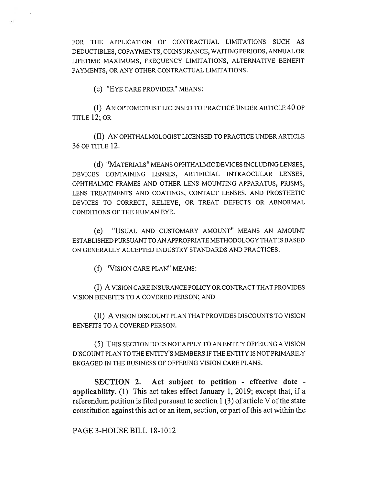FOR THE APPLICATION OF CONTRACTUAL LIMITATIONS SUCH AS DEDUCTIBLES, COPAYMENTS, COINSURANCE, WAITING PERIODS, ANNUAL OR LIFETIME MAXIMUMS, FREQUENCY LIMITATIONS, ALTERNATIVE BENEFIT PAYMENTS, OR ANY OTHER CONTRACTUAL LIMITATIONS.

(c) "EYE CARE PROVIDER" MEANS:

(I) AN OPTOMETRIST LICENSED TO PRACTICE UNDER ARTICLE 40 OF TITLE 12; OR

(II) AN OPHTHALMOLOGIST LICENSED TO PRACTICE UNDER ARTICLE 36 OF TITLE 12.

(d) "MATERIALS" MEANS OPHTHALMIC DEVICES INCLUDING LENSES, DEVICES CONTAINING LENSES, ARTIFICIAL INTRAOCULAR LENSES, OPHTHALMIC FRAMES AND OTHER LENS MOUNTING APPARATUS, PRISMS, LENS TREATMENTS AND COATINGS, CONTACT LENSES, AND PROSTHETIC DEVICES TO CORRECT, RELIEVE, OR TREAT DEFECTS OR ABNORMAL CONDITIONS OF THE HUMAN EYE.

(e) "USUAL AND CUSTOMARY AMOUNT" MEANS AN AMOUNT ESTABLISHED PURSUANT TO AN APPROPRIATE METHODOLOGY THAT IS BASED ON GENERALLY ACCEPTED INDUSTRY STANDARDS AND PRACTICES.

(f) "VISION CARE PLAN" MEANS:

(I) A VISION CARE INSURANCE POLICY OR CONTRACT THAT PROVIDES VISION BENEFITS TO A COVERED PERSON; AND

(II) A VISION DISCOUNT PLAN THAT PROVIDES DISCOUNTS TO VISION BENEFITS TO A COVERED PERSON.

(5) THIS SECTION DOES NOT APPLY TO AN ENTITY OFFERING A VISION DISCOUNT PLAN TO THE ENTITY'S MEMBERS IF THE ENTITY IS NOT PRIMARILY ENGAGED IN THE BUSINESS OF OFFERING VISION CARE PLANS.

**SECTION 2. Act subject to petition - effective date applicability. (1)** This act takes effect January 1, 2019; except that, if a referendum petition is filed pursuant to section 1 (3) of article V of the state constitution against this act or an item, section, or part of this act within the

PAGE 3-HOUSE BILL 18-1012